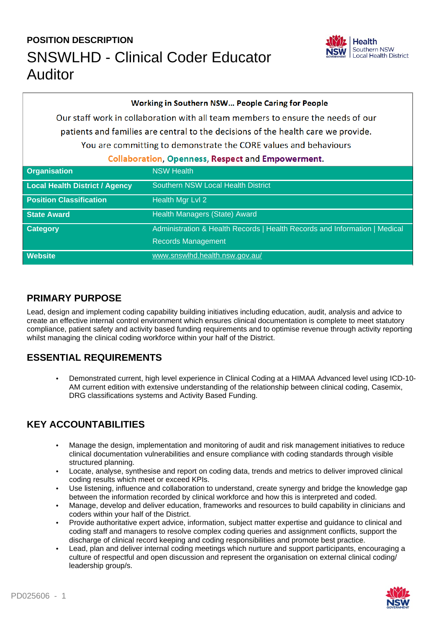# **POSITION DESCRIPTION** SNSWLHD - Clinical Coder Educator Auditor



| Working in Southern NSW People Caring for People                                  |                                                                            |  |
|-----------------------------------------------------------------------------------|----------------------------------------------------------------------------|--|
| Our staff work in collaboration with all team members to ensure the needs of our  |                                                                            |  |
| patients and families are central to the decisions of the health care we provide. |                                                                            |  |
| You are committing to demonstrate the CORE values and behaviours                  |                                                                            |  |
| <b>Collaboration, Openness, Respect and Empowerment.</b>                          |                                                                            |  |
| <b>Organisation</b>                                                               | <b>NSW Health</b>                                                          |  |
| Local Health District / Agency                                                    | <b>Southern NSW Local Health District</b>                                  |  |
| <b>Position Classification</b>                                                    | Health Mgr Lvl 2                                                           |  |
| <b>State Award</b>                                                                | Health Managers (State) Award                                              |  |
| <b>Category</b>                                                                   | Administration & Health Records   Health Records and Information   Medical |  |
|                                                                                   | <b>Records Management</b>                                                  |  |
| <b>Website</b>                                                                    | www.snswlhd.health.nsw.gov.au/                                             |  |

#### **PRIMARY PURPOSE**

Lead, design and implement coding capability building initiatives including education, audit, analysis and advice to create an effective internal control environment which ensures clinical documentation is complete to meet statutory compliance, patient safety and activity based funding requirements and to optimise revenue through activity reporting whilst managing the clinical coding workforce within your half of the District.

#### **ESSENTIAL REQUIREMENTS**

• Demonstrated current, high level experience in Clinical Coding at a HIMAA Advanced level using ICD-10- AM current edition with extensive understanding of the relationship between clinical coding, Casemix, DRG classifications systems and Activity Based Funding.

### **KEY ACCOUNTABILITIES**

- Manage the design, implementation and monitoring of audit and risk management initiatives to reduce clinical documentation vulnerabilities and ensure compliance with coding standards through visible structured planning.
- Locate, analyse, synthesise and report on coding data, trends and metrics to deliver improved clinical coding results which meet or exceed KPIs.
- Use listening, influence and collaboration to understand, create synergy and bridge the knowledge gap between the information recorded by clinical workforce and how this is interpreted and coded.
- Manage, develop and deliver education, frameworks and resources to build capability in clinicians and coders within your half of the District.
- Provide authoritative expert advice, information, subject matter expertise and guidance to clinical and coding staff and managers to resolve complex coding queries and assignment conflicts, support the discharge of clinical record keeping and coding responsibilities and promote best practice.
- Lead, plan and deliver internal coding meetings which nurture and support participants, encouraging a culture of respectful and open discussion and represent the organisation on external clinical coding/ leadership group/s.

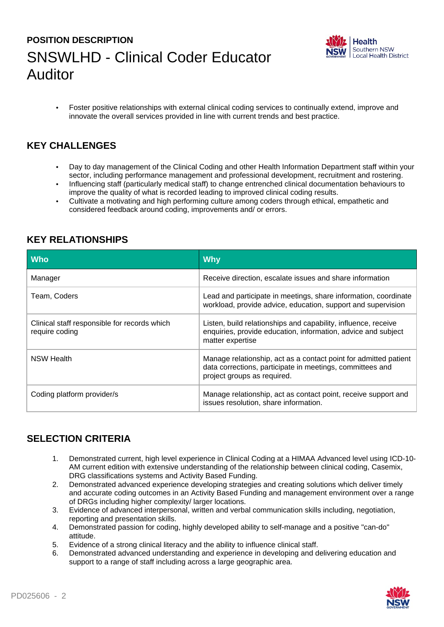# **POSITION DESCRIPTION** SNSWLHD - Clinical Coder Educator Auditor



• Foster positive relationships with external clinical coding services to continually extend, improve and innovate the overall services provided in line with current trends and best practice.

#### **KEY CHALLENGES**

- Day to day management of the Clinical Coding and other Health Information Department staff within your sector, including performance management and professional development, recruitment and rostering.
- Influencing staff (particularly medical staff) to change entrenched clinical documentation behaviours to improve the quality of what is recorded leading to improved clinical coding results.
- Cultivate a motivating and high performing culture among coders through ethical, empathetic and considered feedback around coding, improvements and/ or errors.

| <b>Who</b>                                                     | <b>Why</b>                                                                                                                                                   |
|----------------------------------------------------------------|--------------------------------------------------------------------------------------------------------------------------------------------------------------|
| Manager                                                        | Receive direction, escalate issues and share information                                                                                                     |
| Team, Coders                                                   | Lead and participate in meetings, share information, coordinate<br>workload, provide advice, education, support and supervision                              |
| Clinical staff responsible for records which<br>require coding | Listen, build relationships and capability, influence, receive<br>enquiries, provide education, information, advice and subject<br>matter expertise          |
| NSW Health                                                     | Manage relationship, act as a contact point for admitted patient<br>data corrections, participate in meetings, committees and<br>project groups as required. |
| Coding platform provider/s                                     | Manage relationship, act as contact point, receive support and<br>issues resolution, share information.                                                      |

### **KEY RELATIONSHIPS**

### **SELECTION CRITERIA**

- 1. Demonstrated current, high level experience in Clinical Coding at a HIMAA Advanced level using ICD-10- AM current edition with extensive understanding of the relationship between clinical coding, Casemix, DRG classifications systems and Activity Based Funding.
- 2. Demonstrated advanced experience developing strategies and creating solutions which deliver timely and accurate coding outcomes in an Activity Based Funding and management environment over a range of DRGs including higher complexity/ larger locations.
- 3. Evidence of advanced interpersonal, written and verbal communication skills including, negotiation, reporting and presentation skills.
- 4. Demonstrated passion for coding, highly developed ability to self-manage and a positive "can-do" attitude.
- 5. Evidence of a strong clinical literacy and the ability to influence clinical staff.
- 6. Demonstrated advanced understanding and experience in developing and delivering education and support to a range of staff including across a large geographic area.